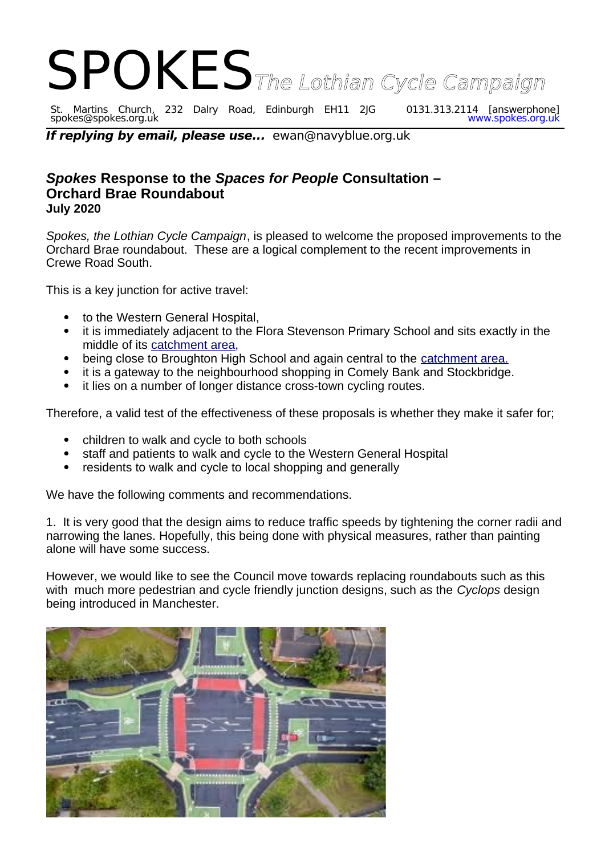## SPOKES<sub>The Lothian Cycle Campaign</sub>

St. Martins Church, 232 Dalry Road, Edinburgh EH11 2JG 0131.313.2114 [answerphone] spokes@spokes.org.uk www.spokes.org.uk

**If replying by email, please use...** ewan@navyblue.org.uk

## *Spokes* **Response to the** *Spaces for People* **Consultation – Orchard Brae Roundabout July 2020**

*Spokes, the Lothian Cycle Campaign*, is pleased to welcome the proposed improvements to the Orchard Brae roundabout. These are a logical complement to the recent improvements in Crewe Road South.

This is a key junction for active travel:

- to the Western General Hospital,
- it is immediately adjacent to the Flora Stevenson Primary School and sits exactly in the middle of its [catchment area,](https://www.edinburgh.gov.uk/downloads/file/22215/flora-stevenson-primary-school)
- being close to Broughton High School and again central to the [catchment area.](https://www.edinburgh.gov.uk/downloads/file/22259/broughton-high-school)
- it is a gateway to the neighbourhood shopping in Comely Bank and Stockbridge.
- it lies on a number of longer distance cross-town cycling routes.

Therefore, a valid test of the effectiveness of these proposals is whether they make it safer for;

- children to walk and cycle to both schools
- staff and patients to walk and cycle to the Western General Hospital
- residents to walk and cycle to local shopping and generally

We have the following comments and recommendations.

1. It is very good that the design aims to reduce traffic speeds by tightening the corner radii and narrowing the lanes. Hopefully, this being done with physical measures, rather than painting alone will have some success.

However, we would like to see the Council move towards replacing roundabouts such as this with much more pedestrian and cycle friendly junction designs, such as the *Cyclops* design being introduced in Manchester.